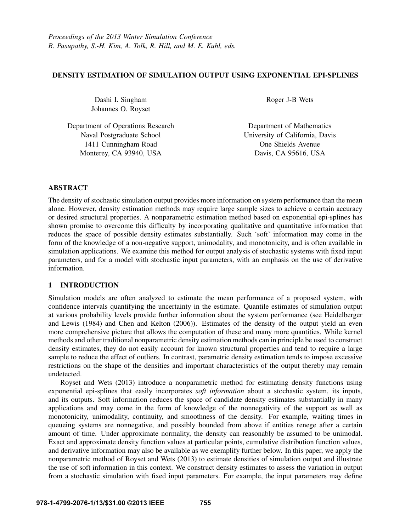# DENSITY ESTIMATION OF SIMULATION OUTPUT USING EXPONENTIAL EPI-SPLINES

Dashi I. Singham Johannes O. Royset Roger J-B Wets

Department of Operations Research Naval Postgraduate School 1411 Cunningham Road Monterey, CA 93940, USA

Department of Mathematics University of California, Davis One Shields Avenue Davis, CA 95616, USA

# ABSTRACT

The density of stochastic simulation output provides more information on system performance than the mean alone. However, density estimation methods may require large sample sizes to achieve a certain accuracy or desired structural properties. A nonparametric estimation method based on exponential epi-splines has shown promise to overcome this difficulty by incorporating qualitative and quantitative information that reduces the space of possible density estimates substantially. Such 'soft' information may come in the form of the knowledge of a non-negative support, unimodality, and monotonicity, and is often available in simulation applications. We examine this method for output analysis of stochastic systems with fixed input parameters, and for a model with stochastic input parameters, with an emphasis on the use of derivative information.

# 1 INTRODUCTION

Simulation models are often analyzed to estimate the mean performance of a proposed system, with confidence intervals quantifying the uncertainty in the estimate. Quantile estimates of simulation output at various probability levels provide further information about the system performance (see Heidelberger and Lewis (1984) and Chen and Kelton (2006)). Estimates of the density of the output yield an even more comprehensive picture that allows the computation of these and many more quantities. While kernel methods and other traditional nonparametric density estimation methods can in principle be used to construct density estimates, they do not easily account for known structural properties and tend to require a large sample to reduce the effect of outliers. In contrast, parametric density estimation tends to impose excessive restrictions on the shape of the densities and important characteristics of the output thereby may remain undetected.

Royset and Wets (2013) introduce a nonparametric method for estimating density functions using exponential epi-splines that easily incorporates *soft information* about a stochastic system, its inputs, and its outputs. Soft information reduces the space of candidate density estimates substantially in many applications and may come in the form of knowledge of the nonnegativity of the support as well as monotonicity, unimodality, continuity, and smoothness of the density. For example, waiting times in queueing systems are nonnegative, and possibly bounded from above if entities renege after a certain amount of time. Under approximate normality, the density can reasonably be assumed to be unimodal. Exact and approximate density function values at particular points, cumulative distribution function values, and derivative information may also be available as we exemplify further below. In this paper, we apply the nonparametric method of Royset and Wets (2013) to estimate densities of simulation output and illustrate the use of soft information in this context. We construct density estimates to assess the variation in output from a stochastic simulation with fixed input parameters. For example, the input parameters may define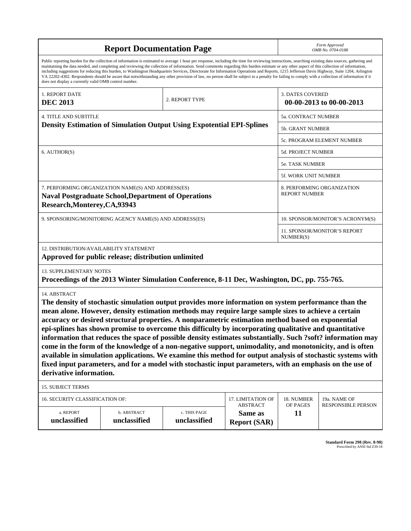| <b>Report Documentation Page</b>                                                                                                                                                                                                                                                                                                                                                                                                                                                                                                                                                                                                                                                                                                                                                                                                                                                                                             |                                                                              |                                      |                                |                         | Form Approved<br>OMB No. 0704-0188                 |  |  |
|------------------------------------------------------------------------------------------------------------------------------------------------------------------------------------------------------------------------------------------------------------------------------------------------------------------------------------------------------------------------------------------------------------------------------------------------------------------------------------------------------------------------------------------------------------------------------------------------------------------------------------------------------------------------------------------------------------------------------------------------------------------------------------------------------------------------------------------------------------------------------------------------------------------------------|------------------------------------------------------------------------------|--------------------------------------|--------------------------------|-------------------------|----------------------------------------------------|--|--|
| Public reporting burden for the collection of information is estimated to average 1 hour per response, including the time for reviewing instructions, searching existing data sources, gathering and<br>maintaining the data needed, and completing and reviewing the collection of information. Send comments regarding this burden estimate or any other aspect of this collection of information,<br>including suggestions for reducing this burden, to Washington Headquarters Services, Directorate for Information Operations and Reports, 1215 Jefferson Davis Highway, Suite 1204, Arlington<br>VA 22202-4302. Respondents should be aware that notwithstanding any other provision of law, no person shall be subject to a penalty for failing to comply with a collection of information if it<br>does not display a currently valid OMB control number.                                                           |                                                                              |                                      |                                |                         |                                                    |  |  |
| 1. REPORT DATE<br><b>DEC 2013</b>                                                                                                                                                                                                                                                                                                                                                                                                                                                                                                                                                                                                                                                                                                                                                                                                                                                                                            |                                                                              | 2. REPORT TYPE                       |                                | <b>3. DATES COVERED</b> | 00-00-2013 to 00-00-2013                           |  |  |
| <b>4. TITLE AND SUBTITLE</b>                                                                                                                                                                                                                                                                                                                                                                                                                                                                                                                                                                                                                                                                                                                                                                                                                                                                                                 |                                                                              |                                      |                                | 5a. CONTRACT NUMBER     |                                                    |  |  |
|                                                                                                                                                                                                                                                                                                                                                                                                                                                                                                                                                                                                                                                                                                                                                                                                                                                                                                                              | <b>Density Estimation of Simulation Output Using Expotential EPI-Splines</b> |                                      | 5b. GRANT NUMBER               |                         |                                                    |  |  |
|                                                                                                                                                                                                                                                                                                                                                                                                                                                                                                                                                                                                                                                                                                                                                                                                                                                                                                                              |                                                                              |                                      |                                |                         | 5c. PROGRAM ELEMENT NUMBER                         |  |  |
| 6. AUTHOR(S)                                                                                                                                                                                                                                                                                                                                                                                                                                                                                                                                                                                                                                                                                                                                                                                                                                                                                                                 |                                                                              |                                      |                                |                         | 5d. PROJECT NUMBER                                 |  |  |
|                                                                                                                                                                                                                                                                                                                                                                                                                                                                                                                                                                                                                                                                                                                                                                                                                                                                                                                              |                                                                              |                                      |                                |                         | 5e. TASK NUMBER                                    |  |  |
|                                                                                                                                                                                                                                                                                                                                                                                                                                                                                                                                                                                                                                                                                                                                                                                                                                                                                                                              |                                                                              |                                      |                                |                         | 5f. WORK UNIT NUMBER                               |  |  |
| 7. PERFORMING ORGANIZATION NAME(S) AND ADDRESS(ES)<br><b>Naval Postgraduate School, Department of Operations</b><br>Research, Monterey, CA, 93943                                                                                                                                                                                                                                                                                                                                                                                                                                                                                                                                                                                                                                                                                                                                                                            |                                                                              |                                      |                                |                         | 8. PERFORMING ORGANIZATION<br><b>REPORT NUMBER</b> |  |  |
| 9. SPONSORING/MONITORING AGENCY NAME(S) AND ADDRESS(ES)                                                                                                                                                                                                                                                                                                                                                                                                                                                                                                                                                                                                                                                                                                                                                                                                                                                                      |                                                                              |                                      |                                |                         | 10. SPONSOR/MONITOR'S ACRONYM(S)                   |  |  |
|                                                                                                                                                                                                                                                                                                                                                                                                                                                                                                                                                                                                                                                                                                                                                                                                                                                                                                                              |                                                                              |                                      |                                | NUMBER(S)               | 11. SPONSOR/MONITOR'S REPORT                       |  |  |
| 12. DISTRIBUTION/AVAILABILITY STATEMENT<br>Approved for public release; distribution unlimited                                                                                                                                                                                                                                                                                                                                                                                                                                                                                                                                                                                                                                                                                                                                                                                                                               |                                                                              |                                      |                                |                         |                                                    |  |  |
| 13. SUPPLEMENTARY NOTES<br>Proceedings of the 2013 Winter Simulation Conference, 8-11 Dec, Washington, DC, pp. 755-765.                                                                                                                                                                                                                                                                                                                                                                                                                                                                                                                                                                                                                                                                                                                                                                                                      |                                                                              |                                      |                                |                         |                                                    |  |  |
| 14. ABSTRACT<br>The density of stochastic simulation output provides more information on system performance than the<br>mean alone. However, density estimation methods may require large sample sizes to achieve a certain<br>accuracy or desired structural properties. A nonparametric estimation method based on exponential<br>epi-splines has shown promise to overcome this difficulty by incorporating qualitative and quantitative<br>information that reduces the space of possible density estimates substantially. Such ?soft? information may<br>come in the form of the knowledge of a non-negative support, unimodality, and monotonicity, and is often<br>available in simulation applications. We examine this method for output analysis of stochastic systems with<br>fixed input parameters, and for a model with stochastic input parameters, with an emphasis on the use of<br>derivative information. |                                                                              |                                      |                                |                         |                                                    |  |  |
| 15. SUBJECT TERMS                                                                                                                                                                                                                                                                                                                                                                                                                                                                                                                                                                                                                                                                                                                                                                                                                                                                                                            |                                                                              |                                      |                                |                         |                                                    |  |  |
| 16. SECURITY CLASSIFICATION OF:                                                                                                                                                                                                                                                                                                                                                                                                                                                                                                                                                                                                                                                                                                                                                                                                                                                                                              |                                                                              | 17. LIMITATION OF<br><b>ABSTRACT</b> | 18. NUMBER<br>OF PAGES         | 19a. NAME OF            |                                                    |  |  |
| a. REPORT<br>unclassified                                                                                                                                                                                                                                                                                                                                                                                                                                                                                                                                                                                                                                                                                                                                                                                                                                                                                                    | b. ABSTRACT<br>unclassified                                                  | c. THIS PAGE<br>unclassified         | Same as<br><b>Report (SAR)</b> | 11                      | <b>RESPONSIBLE PERSON</b>                          |  |  |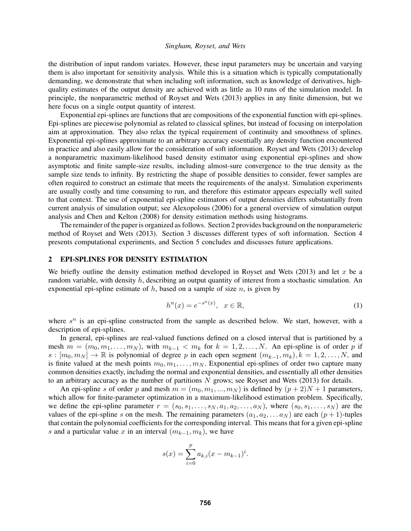the distribution of input random variates. However, these input parameters may be uncertain and varying them is also important for sensitivity analysis. While this is a situation which is typically computationally demanding, we demonstrate that when including soft information, such as knowledge of derivatives, highquality estimates of the output density are achieved with as little as 10 runs of the simulation model. In principle, the nonparametric method of Royset and Wets (2013) applies in any finite dimension, but we here focus on a single output quantity of interest.

Exponential epi-splines are functions that are compositions of the exponential function with epi-splines. Epi-splines are piecewise polynomial as related to classical splines, but instead of focusing on interpolation aim at approximation. They also relax the typical requirement of continuity and smoothness of splines. Exponential epi-splines approximate to an arbitrary accuracy essentially any density function encountered in practice and also easily allow for the consideration of soft information. Royset and Wets (2013) develop a nonparametric maximum-likelihood based density estimator using exponential epi-splines and show asymptotic and finite sample-size results, including almost-sure convergence to the true density as the sample size tends to infinity. By restricting the shape of possible densities to consider, fewer samples are often required to construct an estimate that meets the requirements of the analyst. Simulation experiments are usually costly and time consuming to run, and therefore this estimator appears especially well suited to that context. The use of exponential epi-spline estimators of output densities differs substantially from current analysis of simulation output; see Alexopolous (2006) for a general overview of simulation output analysis and Chen and Kelton (2008) for density estimation methods using histograms.

The remainder of the paper is organized as follows. Section 2 provides background on the nonparameteric method of Royset and Wets (2013). Section 3 discusses different types of soft information. Section 4 presents computational experiments, and Section 5 concludes and discusses future applications.

## 2 EPI-SPLINES FOR DENSITY ESTIMATION

We briefly outline the density estimation method developed in Royset and Wets (2013) and let  $x$  be a random variable, with density h, describing an output quantity of interest from a stochastic simulation. An exponential epi-spline estimate of  $h$ , based on a sample of size  $n$ , is given by

$$
h^n(x) = e^{-s^n(x)}, \quad x \in \mathbb{R},\tag{1}
$$

where  $s^n$  is an epi-spline constructed from the sample as described below. We start, however, with a description of epi-splines.

In general, epi-splines are real-valued functions defined on a closed interval that is partitioned by a mesh  $m = (m_0, m_1, \ldots, m_N)$ , with  $m_{k-1} < m_k$  for  $k = 1, 2, \ldots, N$ . An epi-spline is of order p if  $s : [m_0, m_N] \to \mathbb{R}$  is polynomial of degree p in each open segment  $(m_{k-1}, m_k), k = 1, 2, \ldots, N$ , and is finite valued at the mesh points  $m_0, m_1, \ldots, m_N$ . Exponential epi-splines of order two capture many common densities exactly, including the normal and exponential densities, and essentially all other densities to an arbitrary accuracy as the number of partitions  $N$  grows; see Royset and Wets (2013) for details.

An epi-spline s of order p and mesh  $m = (m_0, m_1, ..., m_N)$  is defined by  $(p+2)N + 1$  parameters, which allow for finite-parameter optimization in a maximum-likelihood estimation problem. Specifically, we define the epi-spline parameter  $r = (s_0, s_1, \ldots, s_N, a_1, a_2, \ldots, a_N)$ , where  $(s_0, s_1, \ldots, s_N)$  are the values of the epi-spline s on the mesh. The remaining parameters  $(a_1, a_2, \ldots a_N)$  are each  $(p + 1)$ -tuples that contain the polynomial coefficients for the corresponding interval. This means that for a given epi-spline s and a particular value x in an interval  $(m_{k-1}, m_k)$ , we have

$$
s(x) = \sum_{i=0}^{p} a_{k,i}(x - m_{k-1})^{i}.
$$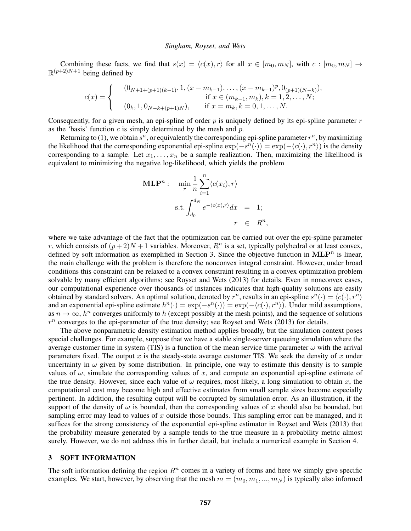Combining these facts, we find that  $s(x) = \langle c(x), r \rangle$  for all  $x \in [m_0, m_N]$ , with  $c : [m_0, m_N] \rightarrow$  $\mathbb{R}^{(p+2)N+1}$  being defined by

$$
c(x) = \begin{cases} (0_{N+1+(p+1)(k-1)}, 1, (x - m_{k-1}), \dots, (x - m_{k-1})^p, 0_{(p+1)(N-k)}), \\ \text{if } x \in (m_{k-1}, m_k), k = 1, 2, \dots, N; \\ (0_k, 1, 0_{N-k+(p+1)N}), \quad \text{if } x = m_k, k = 0, 1, \dots, N. \end{cases}
$$

Consequently, for a given mesh, an epi-spline of order  $p$  is uniquely defined by its epi-spline parameter  $r$ as the 'basis' function  $c$  is simply determined by the mesh and  $p$ .

Returning to (1), we obtain  $s^n$ , or equivalently the corresponding epi-spline parameter  $r^n$ , by maximizing the likelihood that the corresponding exponential epi-spline  $\exp(-s^n(\cdot)) = \exp(-\langle c(\cdot), r^n \rangle)$  is the density corresponding to a sample. Let  $x_1, \ldots, x_n$  be a sample realization. Then, maximizing the likelihood is equivalent to minimizing the negative log-likelihood, which yields the problem

$$
\begin{aligned}\n\textbf{MLP}^n: \quad & \min_r \frac{1}{n} \sum_{i=1}^n \langle c(x_i), r \rangle \\
& \text{s.t.} \int_{d_0}^{d_N} e^{-\langle c(x), r \rangle} dx &= 1; \\
& r & \in \quad R^n,\n\end{aligned}
$$

where we take advantage of the fact that the optimization can be carried out over the epi-spline parameter r, which consists of  $(p+2)N+1$  variables. Moreover,  $R<sup>n</sup>$  is a set, typically polyhedral or at least convex, defined by soft information as exemplified in Section 3. Since the objective function in  $MLP<sup>n</sup>$  is linear, the main challenge with the problem is therefore the nonconvex integral constraint. However, under broad conditions this constraint can be relaxed to a convex constraint resulting in a convex optimization problem solvable by many efficient algorithms; see Royset and Wets (2013) for details. Even in nonconvex cases, our computational experience over thousands of instances indicates that high-quality solutions are easily obtained by standard solvers. An optimal solution, denoted by  $r^n$ , results in an epi-spline  $s^n(\cdot) = \langle c(\cdot), r^n \rangle$ and an exponential epi-spline estimate  $h^n(\cdot) = \exp(-s^n(\cdot)) = \exp(-\langle c(\cdot), r^n \rangle)$ . Under mild assumptions, as  $n \to \infty$ ,  $h^n$  converges uniformly to h (except possibly at the mesh points), and the sequence of solutions  $r^n$  converges to the epi-parameter of the true density; see Royset and Wets (2013) for details.

The above nonparametric density estimation method applies broadly, but the simulation context poses special challenges. For example, suppose that we have a stable single-server queueing simulation where the average customer time in system (TIS) is a function of the mean service time parameter  $\omega$  with the arrival parameters fixed. The output x is the steady-state average customer TIS. We seek the density of x under uncertainty in  $\omega$  given by some distribution. In principle, one way to estimate this density is to sample values of  $\omega$ , simulate the corresponding values of x, and compute an exponential epi-spline estimate of the true density. However, since each value of  $\omega$  requires, most likely, a long simulation to obtain x, the computational cost may become high and effective estimates from small sample sizes become especially pertinent. In addition, the resulting output will be corrupted by simulation error. As an illustration, if the support of the density of  $\omega$  is bounded, then the corresponding values of x should also be bounded, but sampling error may lead to values of x outside those bounds. This sampling error can be managed, and it suffices for the strong consistency of the exponential epi-spline estimator in Royset and Wets (2013) that the probability measure generated by a sample tends to the true measure in a probability metric almost surely. However, we do not address this in further detail, but include a numerical example in Section 4.

## 3 SOFT INFORMATION

The soft information defining the region  $R<sup>n</sup>$  comes in a variety of forms and here we simply give specific examples. We start, however, by observing that the mesh  $m = (m_0, m_1, ..., m_N)$  is typically also informed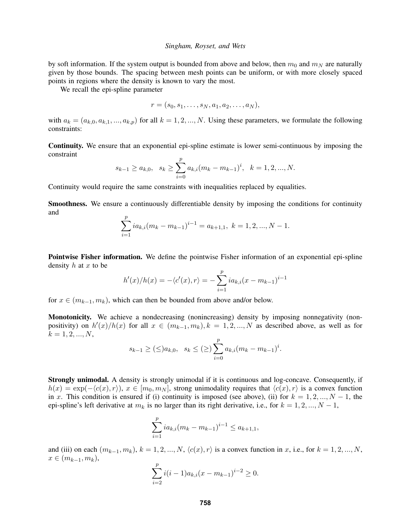by soft information. If the system output is bounded from above and below, then  $m_0$  and  $m_N$  are naturally given by those bounds. The spacing between mesh points can be uniform, or with more closely spaced points in regions where the density is known to vary the most.

We recall the epi-spline parameter

$$
r=(s_0,s_1,\ldots,s_N,a_1,a_2,\ldots,a_N),
$$

with  $a_k = (a_{k,0}, a_{k,1}, ..., a_{k,p})$  for all  $k = 1, 2, ..., N$ . Using these parameters, we formulate the following constraints:

Continuity. We ensure that an exponential epi-spline estimate is lower semi-continuous by imposing the constraint

$$
s_{k-1} \ge a_{k,0}, \quad s_k \ge \sum_{i=0}^p a_{k,i} (m_k - m_{k-1})^i, \quad k = 1, 2, ..., N.
$$

Continuity would require the same constraints with inequalities replaced by equalities.

Smoothness. We ensure a continuously differentiable density by imposing the conditions for continuity and  $\boldsymbol{n}$ 

$$
\sum_{i=1}^{r} i a_{k,i} (m_k - m_{k-1})^{i-1} = a_{k+1,1}, \ k = 1, 2, ..., N - 1.
$$

Pointwise Fisher information. We define the pointwise Fisher information of an exponential epi-spline density  $h$  at  $x$  to be

$$
h'(x)/h(x) = -\langle c'(x), r \rangle = -\sum_{i=1}^{p} i a_{k,i} (x - m_{k-1})^{i-1}
$$

for  $x \in (m_{k-1}, m_k)$ , which can then be bounded from above and/or below.

Monotonicity. We achieve a nondecreasing (nonincreasing) density by imposing nonnegativity (nonpositivity) on  $h'(x)/h(x)$  for all  $x \in (m_{k-1}, m_k), k = 1, 2, ..., N$  as described above, as well as for  $k = 1, 2, ..., N$ ,

$$
s_{k-1} \geq (\leq) a_{k,0}, \ \ s_k \leq (\geq) \sum_{i=0}^p a_{k,i} (m_k - m_{k-1})^i.
$$

Strongly unimodal. A density is strongly unimodal if it is continuous and log-concave. Consequently, if  $h(x) = \exp(-\langle c(x), r \rangle), x \in [m_0, m_N],$  strong unimodality requires that  $\langle c(x), r \rangle$  is a convex function in x. This condition is ensured if (i) continuity is imposed (see above), (ii) for  $k = 1, 2, ..., N - 1$ , the epi-spline's left derivative at  $m_k$  is no larger than its right derivative, i.e., for  $k = 1, 2, ..., N - 1$ ,

$$
\sum_{i=1}^{p} i a_{k,i} (m_k - m_{k-1})^{i-1} \le a_{k+1,1},
$$

and (iii) on each  $(m_{k-1}, m_k)$ ,  $k = 1, 2, ..., N$ ,  $\langle c(x), r \rangle$  is a convex function in x, i.e., for  $k = 1, 2, ..., N$ ,  $x \in (m_{k-1}, m_k),$ 

$$
\sum_{i=2}^{p} i(i-1)a_{k,i}(x - m_{k-1})^{i-2} \ge 0.
$$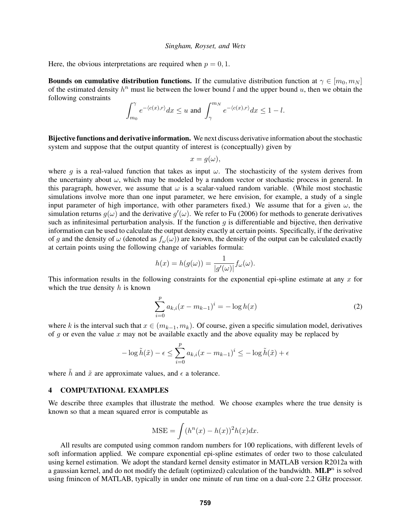Here, the obvious interpretations are required when  $p = 0, 1$ .

**Bounds on cumulative distribution functions.** If the cumulative distribution function at  $\gamma \in [m_0, m_N]$ of the estimated density  $h^n$  must lie between the lower bound l and the upper bound u, then we obtain the following constraints

$$
\int_{m_0}^{\gamma}e^{-\langle c(x),r\rangle}dx\leq u\text{ and }\int_{\gamma}^{m_N}e^{-\langle c(x),r\rangle}dx\leq 1-l.
$$

Bijective functions and derivative information. We next discuss derivative information about the stochastic system and suppose that the output quantity of interest is (conceptually) given by

$$
x = g(\omega),
$$

where q is a real-valued function that takes as input  $\omega$ . The stochasticity of the system derives from the uncertainty about  $\omega$ , which may be modeled by a random vector or stochastic process in general. In this paragraph, however, we assume that  $\omega$  is a scalar-valued random variable. (While most stochastic simulations involve more than one input parameter, we here envision, for example, a study of a single input parameter of high importance, with other parameters fixed.) We assume that for a given  $\omega$ , the simulation returns  $g(\omega)$  and the derivative  $g'(\omega)$ . We refer to Fu (2006) for methods to generate derivatives such as infinitesimal perturbation analysis. If the function q is differentiable and bijective, then derivative information can be used to calculate the output density exactly at certain points. Specifically, if the derivative of g and the density of  $\omega$  (denoted as  $f_{\omega}(\omega)$ ) are known, the density of the output can be calculated exactly at certain points using the following change of variables formula:

$$
h(x) = h(g(\omega)) = \frac{1}{|g'(\omega)|} f_{\omega}(\omega).
$$

This information results in the following constraints for the exponential epi-spline estimate at any  $x$  for which the true density  $h$  is known

$$
\sum_{i=0}^{p} a_{k,i}(x - m_{k-1})^{i} = -\log h(x)
$$
\n(2)

where k is the interval such that  $x \in (m_{k-1}, m_k)$ . Of course, given a specific simulation model, derivatives of q or even the value x may not be available exactly and the above equality may be replaced by

$$
-\log \tilde{h}(\tilde{x}) - \epsilon \le \sum_{i=0}^{p} a_{k,i} (x - m_{k-1})^i \le -\log \tilde{h}(\tilde{x}) + \epsilon
$$

where  $\tilde{h}$  and  $\tilde{x}$  are approximate values, and  $\epsilon$  a tolerance.

#### 4 COMPUTATIONAL EXAMPLES

We describe three examples that illustrate the method. We choose examples where the true density is known so that a mean squared error is computable as

$$
MSE = \int (h^n(x) - h(x))^2 h(x) dx.
$$

All results are computed using common random numbers for 100 replications, with different levels of soft information applied. We compare exponential epi-spline estimates of order two to those calculated using kernel estimation. We adopt the standard kernel density estimator in MATLAB version R2012a with a gaussian kernel, and do not modify the default (optimized) calculation of the bandwidth.  $MLP<sup>n</sup>$  is solved using fmincon of MATLAB, typically in under one minute of run time on a dual-core 2.2 GHz processor.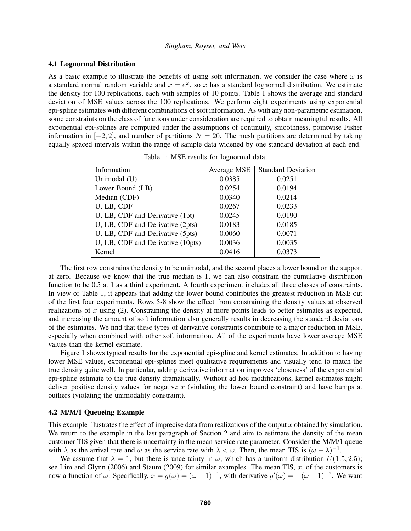#### 4.1 Lognormal Distribution

As a basic example to illustrate the benefits of using soft information, we consider the case where  $\omega$  is a standard normal random variable and  $x = e^{\omega}$ , so x has a standard lognormal distribution. We estimate the density for 100 replications, each with samples of 10 points. Table 1 shows the average and standard deviation of MSE values across the 100 replications. We perform eight experiments using exponential epi-spline estimates with different combinations of soft information. As with any non-parametric estimation, some constraints on the class of functions under consideration are required to obtain meaningful results. All exponential epi-splines are computed under the assumptions of continuity, smoothness, pointwise Fisher information in  $[-2, 2]$ , and number of partitions  $N = 20$ . The mesh partitions are determined by taking equally spaced intervals within the range of sample data widened by one standard deviation at each end.

| Information                       | Average MSE | <b>Standard Deviation</b> |
|-----------------------------------|-------------|---------------------------|
| Unimodal (U)                      | 0.0385      | 0.0251                    |
| Lower Bound (LB)                  | 0.0254      | 0.0194                    |
| Median (CDF)                      | 0.0340      | 0.0214                    |
| U, LB, CDF                        | 0.0267      | 0.0233                    |
| U, LB, CDF and Derivative (1pt)   | 0.0245      | 0.0190                    |
| U, LB, CDF and Derivative (2pts)  | 0.0183      | 0.0185                    |
| U, LB, CDF and Derivative (5pts)  | 0.0060      | 0.0071                    |
| U, LB, CDF and Derivative (10pts) | 0.0036      | 0.0035                    |
| Kernel                            | 0.0416      | 0.0373                    |

Table 1: MSE results for lognormal data.

The first row constrains the density to be unimodal, and the second places a lower bound on the support at zero. Because we know that the true median is 1, we can also constrain the cumulative distribution function to be 0.5 at 1 as a third experiment. A fourth experiment includes all three classes of constraints. In view of Table 1, it appears that adding the lower bound contributes the greatest reduction in MSE out of the first four experiments. Rows 5-8 show the effect from constraining the density values at observed realizations of  $x$  using (2). Constraining the density at more points leads to better estimates as expected, and increasing the amount of soft information also generally results in decreasing the standard deviations of the estimates. We find that these types of derivative constraints contribute to a major reduction in MSE, especially when combined with other soft information. All of the experiments have lower average MSE values than the kernel estimate.

Figure 1 shows typical results for the exponential epi-spline and kernel estimates. In addition to having lower MSE values, exponential epi-splines meet qualitative requirements and visually tend to match the true density quite well. In particular, adding derivative information improves 'closeness' of the exponential epi-spline estimate to the true density dramatically. Without ad hoc modifications, kernel estimates might deliver positive density values for negative  $x$  (violating the lower bound constraint) and have bumps at outliers (violating the unimodality constraint).

## 4.2 M/M/1 Queueing Example

This example illustrates the effect of imprecise data from realizations of the output  $x$  obtained by simulation. We return to the example in the last paragraph of Section 2 and aim to estimate the density of the mean customer TIS given that there is uncertainty in the mean service rate parameter. Consider the M/M/1 queue with  $\lambda$  as the arrival rate and  $\omega$  as the service rate with  $\lambda < \omega$ . Then, the mean TIS is  $(\omega - \lambda)^{-1}$ .

We assume that  $\lambda = 1$ , but there is uncertainty in  $\omega$ , which has a uniform distribution  $U(1.5, 2.5)$ ; see Lim and Glynn (2006) and Staum (2009) for similar examples. The mean TIS,  $x$ , of the customers is now a function of  $\omega$ . Specifically,  $x = g(\omega) = (\omega - 1)^{-1}$ , with derivative  $g'(\omega) = -(\omega - 1)^{-2}$ . We want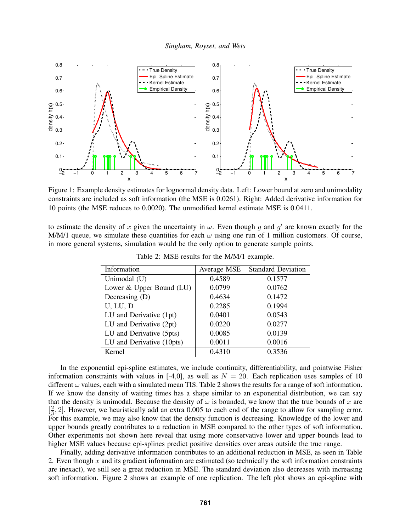

Figure 1: Example density estimates for lognormal density data. Left: Lower bound at zero and unimodality constraints are included as soft information (the MSE is 0.0261). Right: Added derivative information for 10 points (the MSE reduces to 0.0020). The unmodified kernel estimate MSE is 0.0411.

to estimate the density of x given the uncertainty in  $\omega$ . Even though g and g' are known exactly for the M/M/1 queue, we simulate these quantities for each  $\omega$  using one run of 1 million customers. Of course, in more general systems, simulation would be the only option to generate sample points.

| Information               | Average MSE | <b>Standard Deviation</b> |
|---------------------------|-------------|---------------------------|
| Unimodal (U)              | 0.4589      | 0.1577                    |
| Lower & Upper Bound (LU)  | 0.0799      | 0.0762                    |
| Decreasing $(D)$          | 0.4634      | 0.1472                    |
| U, LU, D                  | 0.2285      | 0.1994                    |
| LU and Derivative (1pt)   | 0.0401      | 0.0543                    |
| LU and Derivative (2pt)   | 0.0220      | 0.0277                    |
| LU and Derivative (5pts)  | 0.0085      | 0.0139                    |
| LU and Derivative (10pts) | 0.0011      | 0.0016                    |
| Kernel                    | 0.4310      | 0.3536                    |

Table 2: MSE results for the M/M/1 example.

In the exponential epi-spline estimates, we include continuity, differentiability, and pointwise Fisher information constraints with values in [-4,0], as well as  $N = 20$ . Each replication uses samples of 10 different  $\omega$  values, each with a simulated mean TIS. Table 2 shows the results for a range of soft information. If we know the density of waiting times has a shape similar to an exponential distribution, we can say that the density is unimodal. Because the density of  $\omega$  is bounded, we know that the true bounds of x are  $\left[\frac{2}{3}, 2\right]$ . However, we heuristically add an extra 0.005 to each end of the range to allow for sampling error. For this example, we may also know that the density function is decreasing. Knowledge of the lower and upper bounds greatly contributes to a reduction in MSE compared to the other types of soft information. Other experiments not shown here reveal that using more conservative lower and upper bounds lead to higher MSE values because epi-splines predict positive densities over areas outside the true range.

Finally, adding derivative information contributes to an additional reduction in MSE, as seen in Table 2. Even though  $x$  and its gradient information are estimated (so technically the soft information constraints are inexact), we still see a great reduction in MSE. The standard deviation also decreases with increasing soft information. Figure 2 shows an example of one replication. The left plot shows an epi-spline with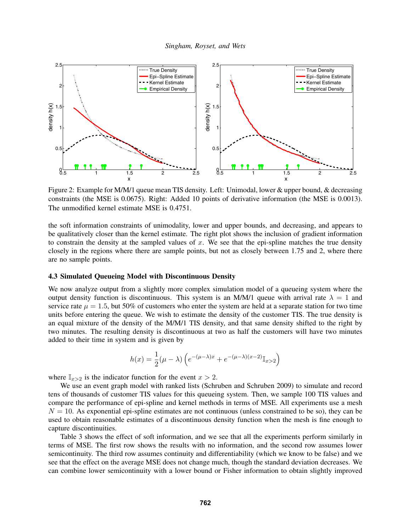

Figure 2: Example for M/M/1 queue mean TIS density. Left: Unimodal, lower & upper bound, & decreasing constraints (the MSE is 0.0675). Right: Added 10 points of derivative information (the MSE is 0.0013). The unmodified kernel estimate MSE is 0.4751.

the soft information constraints of unimodality, lower and upper bounds, and decreasing, and appears to be qualitatively closer than the kernel estimate. The right plot shows the inclusion of gradient information to constrain the density at the sampled values of  $x$ . We see that the epi-spline matches the true density closely in the regions where there are sample points, but not as closely between 1.75 and 2, where there are no sample points.

## 4.3 Simulated Queueing Model with Discontinuous Density

We now analyze output from a slightly more complex simulation model of a queueing system where the output density function is discontinuous. This system is an M/M/1 queue with arrival rate  $\lambda = 1$  and service rate  $\mu = 1.5$ , but 50% of customers who enter the system are held at a separate station for two time units before entering the queue. We wish to estimate the density of the customer TIS. The true density is an equal mixture of the density of the M/M/1 TIS density, and that same density shifted to the right by two minutes. The resulting density is discontinuous at two as half the customers will have two minutes added to their time in system and is given by

$$
h(x) = \frac{1}{2}(\mu - \lambda) \left( e^{-(\mu - \lambda)x} + e^{-(\mu - \lambda)(x-2)} \mathbb{I}_{x>2} \right)
$$

where  $\mathbb{I}_{x>2}$  is the indicator function for the event  $x > 2$ .

We use an event graph model with ranked lists (Schruben and Schruben 2009) to simulate and record tens of thousands of customer TIS values for this queueing system. Then, we sample 100 TIS values and compare the performance of epi-spline and kernel methods in terms of MSE. All experiments use a mesh  $N = 10$ . As exponential epi-spline estimates are not continuous (unless constrained to be so), they can be used to obtain reasonable estimates of a discontinuous density function when the mesh is fine enough to capture discontinuities.

Table 3 shows the effect of soft information, and we see that all the experiments perform similarly in terms of MSE. The first row shows the results with no information, and the second row assumes lower semicontinuity. The third row assumes continuity and differentiability (which we know to be false) and we see that the effect on the average MSE does not change much, though the standard deviation decreases. We can combine lower semicontinuity with a lower bound or Fisher information to obtain slightly improved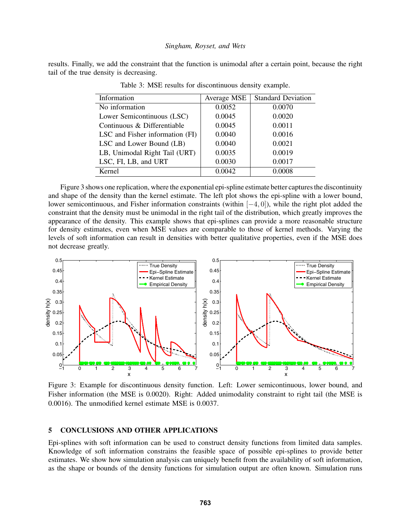results. Finally, we add the constraint that the function is unimodal after a certain point, because the right tail of the true density is decreasing.

| Information                     | Average MSE | <b>Standard Deviation</b> |
|---------------------------------|-------------|---------------------------|
| No information                  | 0.0052      | 0.0070                    |
| Lower Semicontinuous (LSC)      | 0.0045      | 0.0020                    |
| Continuous & Differentiable     | 0.0045      | 0.0011                    |
| LSC and Fisher information (FI) | 0.0040      | 0.0016                    |
| LSC and Lower Bound (LB)        | 0.0040      | 0.0021                    |
| LB, Unimodal Right Tail (URT)   | 0.0035      | 0.0019                    |
| LSC, FI, LB, and URT            | 0.0030      | 0.0017                    |
| Kernel                          | 0.0042      | 0.0008                    |

Table 3: MSE results for discontinuous density example.

Figure 3 shows one replication, where the exponential epi-spline estimate better captures the discontinuity and shape of the density than the kernel estimate. The left plot shows the epi-spline with a lower bound, lower semicontinuous, and Fisher information constraints (within [−4, 0]), while the right plot added the constraint that the density must be unimodal in the right tail of the distribution, which greatly improves the appearance of the density. This example shows that epi-splines can provide a more reasonable structure for density estimates, even when MSE values are comparable to those of kernel methods. Varying the levels of soft information can result in densities with better qualitative properties, even if the MSE does not decrease greatly.



Figure 3: Example for discontinuous density function. Left: Lower semicontinuous, lower bound, and Fisher information (the MSE is 0.0020). Right: Added unimodality constraint to right tail (the MSE is 0.0016). The unmodified kernel estimate MSE is 0.0037.

#### 5 CONCLUSIONS AND OTHER APPLICATIONS

Epi-splines with soft information can be used to construct density functions from limited data samples. Knowledge of soft information constrains the feasible space of possible epi-splines to provide better estimates. We show how simulation analysis can uniquely benefit from the availability of soft information, as the shape or bounds of the density functions for simulation output are often known. Simulation runs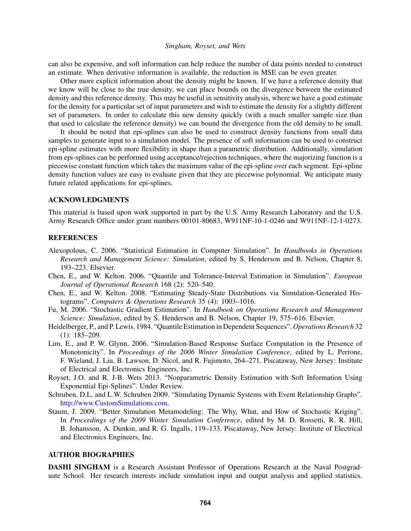can also be expensive, and soft information can help reduce the number of data points needed to construct an estimate. When derivative information is available, the reduction in MSE can be even greater.

Other more explicit information about the density might be known. If we have a reference density that we know will be close to the true density, we can place bounds on the divergence between the estimated density and this reference density. This may be useful in sensitivity analysis, where we have a good estimate for the density for a particular set of input parameters and wish to estimate the density for a slightly different set of parameters. In order to calculate this new density quickly (with a much smaller sample size than that used to calculate the reference density) we can bound the divergence from the old density to be small.

It should be noted that epi-splines can also be used to construct density functions from small data samples to generate input to a simulation model. The presence of soft information can be used to construct epi-spline estimates with more flexibility in shape than a parametric distribution. Additionally, simulation from epi-splines can be performed using acceptance/rejection techniques, where the majorizing function is a piecewise constant function which takes the maximum value of the epi-spline over each segment. Epi-spline density function values are easy to evaluate given that they are piecewise polynomial. We anticipate many future related applications for epi-splines.

## ACKNOWLEDGMENTS

This material is based upon work supported in part by the U.S. Army Research Laboratory and the U.S. Army Research Office under grant numbers 00101-80683, W911NF-10-1-0246 and W911NF-12-1-0273.

## **REFERENCES**

- Alexopolous, C. 2006. "Statistical Estimation in Computer Simulation". In *Handbooks in Operations Research and Management Science: Simulation*, edited by S. Henderson and B. Nelson, Chapter 8, 193–223. Elsevier.
- Chen, E., and W. Kelton. 2006. "Quantile and Tolerance-Interval Estimation in Simulation". *European Journal of Operational Research* 168 (2): 520–540.
- Chen, E., and W. Kelton. 2008. "Estimating Steady-State Distributions via Simulation-Generated Histograms". *Computers & Operations Research* 35 (4): 1003–1016.
- Fu, M. 2006. "Stochastic Gradient Estimation". In *Handbook on Operations Research and Management Science: Simulation*, edited by S. Henderson and B. Nelson, Chapter 19, 575–616. Elsevier.
- Heidelberger, P., and P. Lewis. 1984. "Quantile Estimation in Dependent Sequences". *Operations Research* 32 (1): 185–209.
- Lim, E., and P. W. Glynn. 2006. "Simulation-Based Response Surface Computation in the Presence of Monotonicity". In *Proceedings of the 2006 Winter Simulation Conference*, edited by L. Perrone, F. Wieland, J. Liu, B. Lawson, D. Nicol, and R. Fujimoto, 264–271. Piscataway, New Jersey: Institute of Electrical and Electronics Engineers, Inc.
- Royset, J.O. and R. J-B. Wets 2013. "Nonparametric Density Estimation with Soft Information Using Exponential Epi-Splines". Under Review.
- Schruben, D.L. and L.W. Schruben 2009. "Simulating Dynamic Systems with Event Relationship Graphs". http://www.CustomSimulations.com.
- Staum, J. 2009. "Better Simulation Metamodeling: The Why, What, and How of Stochastic Kriging". In *Proceedings of the 2009 Winter Simulation Conference*, edited by M. D. Rossetti, R. R. Hill, B. Johansson, A. Dunkin, and R. G. Ingalls, 119–133. Piscataway, New Jersey: Institute of Electrical and Electronics Engineers, Inc.

#### AUTHOR BIOGRAPHIES

DASHI SINGHAM is a Research Assistant Professor of Operations Research at the Naval Postgraduate School. Her research interests include simulation input and output analysis and applied statistics.